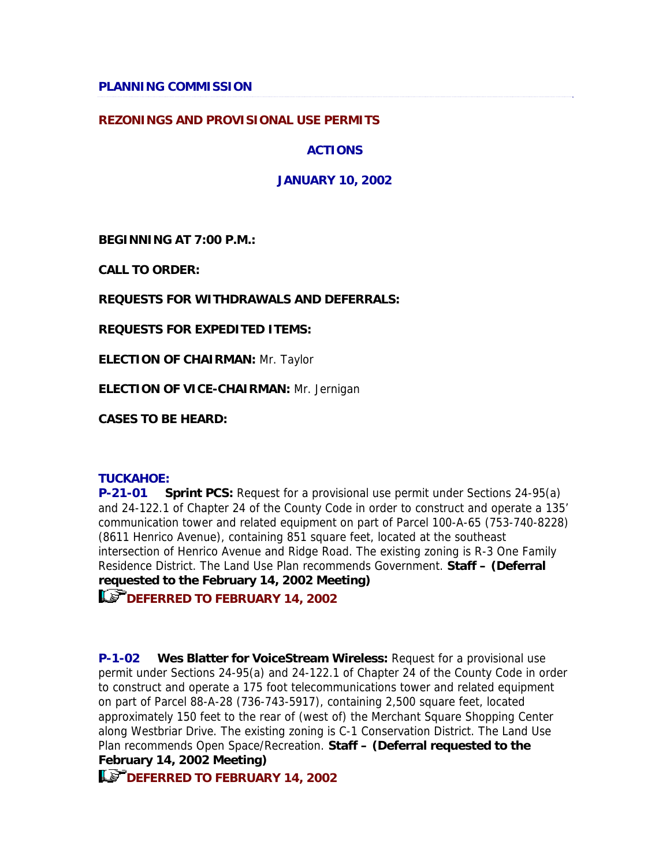## **REZONINGS AND PROVISIONAL USE PERMITS**

**ACTIONS**

**JANUARY 10, 2002**

**BEGINNING AT 7:00 P.M.:**

**CALL TO ORDER:**

**REQUESTS FOR WITHDRAWALS AND DEFERRALS:**

**REQUESTS FOR EXPEDITED ITEMS:**

**ELECTION OF CHAIRMAN:** Mr. Taylor

**ELECTION OF VICE-CHAIRMAN:** Mr. Jernigan

**CASES TO BE HEARD:**

## **TUCKAHOE:**

**P-21-01 Sprint PCS:** Request for a provisional use permit under Sections 24-95(a) and 24-122.1 of Chapter 24 of the County Code in order to construct and operate a 135' communication tower and related equipment on part of Parcel 100-A-65 (753-740-8228) (8611 Henrico Avenue), containing 851 square feet, located at the southeast intersection of Henrico Avenue and Ridge Road. The existing zoning is R-3 One Family Residence District. The Land Use Plan recommends Government. **Staff – (Deferral requested to the February 14, 2002 Meeting)** 

**DEFERRED TO FEBRUARY 14, 2002** 

**P-1-02 Wes Blatter for VoiceStream Wireless:** Request for a provisional use permit under Sections 24-95(a) and 24-122.1 of Chapter 24 of the County Code in order to construct and operate a 175 foot telecommunications tower and related equipment on part of Parcel 88-A-28 (736-743-5917), containing 2,500 square feet, located approximately 150 feet to the rear of (west of) the Merchant Square Shopping Center along Westbriar Drive. The existing zoning is C-1 Conservation District. The Land Use Plan recommends Open Space/Recreation. **Staff – (Deferral requested to the February 14, 2002 Meeting)** 

**LET DEFERRED TO FEBRUARY 14, 2002**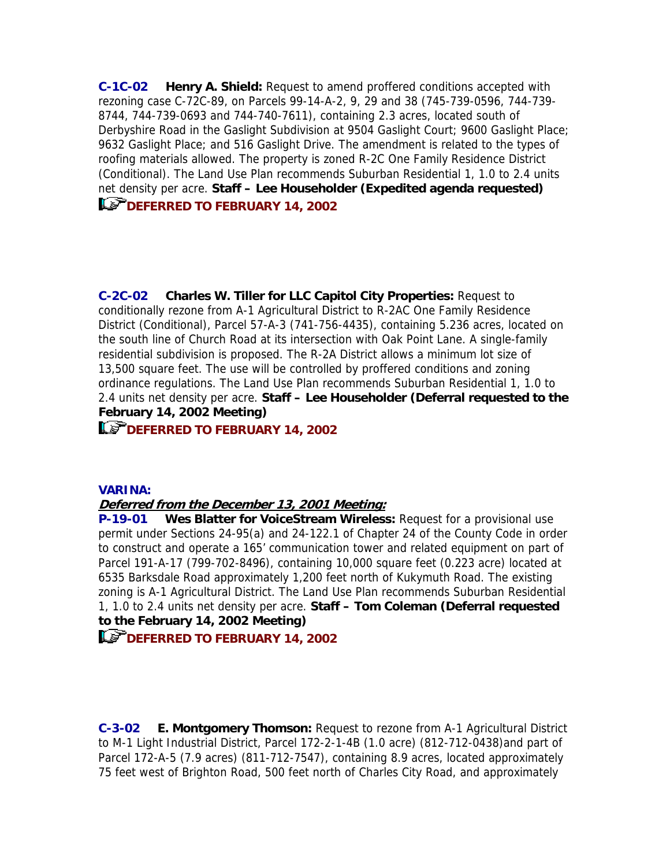**C-1C-02 Henry A. Shield:** Request to amend proffered conditions accepted with rezoning case C-72C-89, on Parcels 99-14-A-2, 9, 29 and 38 (745-739-0596, 744-739- 8744, 744-739-0693 and 744-740-7611), containing 2.3 acres, located south of Derbyshire Road in the Gaslight Subdivision at 9504 Gaslight Court; 9600 Gaslight Place; 9632 Gaslight Place; and 516 Gaslight Drive. The amendment is related to the types of roofing materials allowed. The property is zoned R-2C One Family Residence District (Conditional). The Land Use Plan recommends Suburban Residential 1, 1.0 to 2.4 units net density per acre. **Staff – Lee Householder (Expedited agenda requested) ICP** DEFERRED TO FEBRUARY 14, 2002

**C-2C-02 Charles W. Tiller for LLC Capitol City Properties:** Request to conditionally rezone from A-1 Agricultural District to R-2AC One Family Residence District (Conditional), Parcel 57-A-3 (741-756-4435), containing 5.236 acres, located on the south line of Church Road at its intersection with Oak Point Lane. A single-family residential subdivision is proposed. The R-2A District allows a minimum lot size of 13,500 square feet. The use will be controlled by proffered conditions and zoning ordinance regulations. The Land Use Plan recommends Suburban Residential 1, 1.0 to 2.4 units net density per acre. **Staff – Lee Householder (Deferral requested to the February 14, 2002 Meeting)**

# **DEFERRED TO FEBRUARY 14, 2002**

#### **VARINA:**

## **Deferred from the December 13, 2001 Meeting:**

**P-19-01 Wes Blatter for VoiceStream Wireless:** Request for a provisional use permit under Sections 24-95(a) and 24-122.1 of Chapter 24 of the County Code in order to construct and operate a 165' communication tower and related equipment on part of Parcel 191-A-17 (799-702-8496), containing 10,000 square feet (0.223 acre) located at 6535 Barksdale Road approximately 1,200 feet north of Kukymuth Road. The existing zoning is A-1 Agricultural District. The Land Use Plan recommends Suburban Residential 1, 1.0 to 2.4 units net density per acre. **Staff – Tom Coleman (Deferral requested to the February 14, 2002 Meeting)**

**DEFERRED TO FEBRUARY 14, 2002** 

**C-3-02 E. Montgomery Thomson:** Request to rezone from A-1 Agricultural District to M-1 Light Industrial District, Parcel 172-2-1-4B (1.0 acre) (812-712-0438)and part of Parcel 172-A-5 (7.9 acres) (811-712-7547), containing 8.9 acres, located approximately 75 feet west of Brighton Road, 500 feet north of Charles City Road, and approximately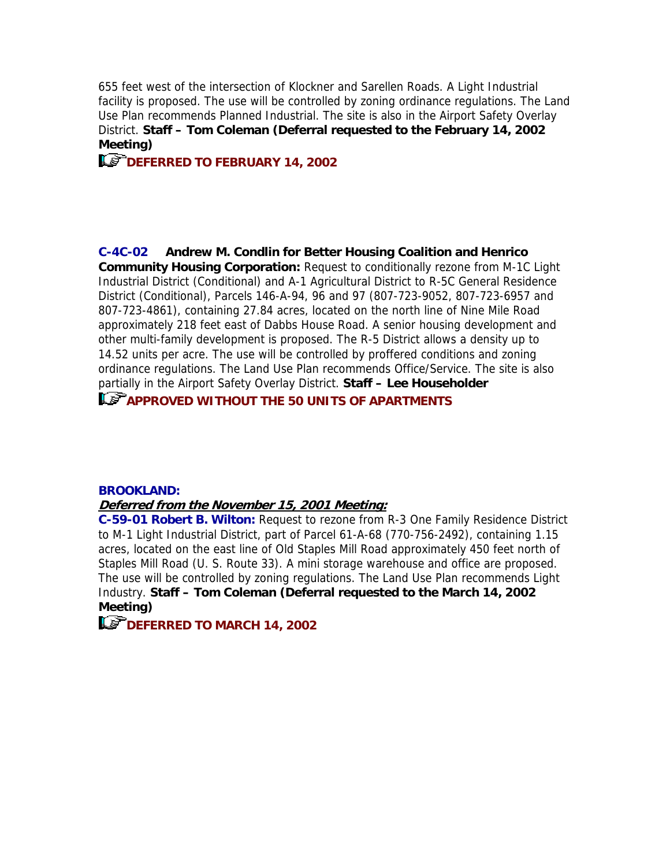655 feet west of the intersection of Klockner and Sarellen Roads. A Light Industrial facility is proposed. The use will be controlled by zoning ordinance regulations. The Land Use Plan recommends Planned Industrial. The site is also in the Airport Safety Overlay District. **Staff – Tom Coleman (Deferral requested to the February 14, 2002 Meeting)**

**ILS DEFERRED TO FEBRUARY 14, 2002** 

**C-4C-02 Andrew M. Condlin for Better Housing Coalition and Henrico Community Housing Corporation:** Request to conditionally rezone from M-1C Light Industrial District (Conditional) and A-1 Agricultural District to R-5C General Residence District (Conditional), Parcels 146-A-94, 96 and 97 (807-723-9052, 807-723-6957 and 807-723-4861), containing 27.84 acres, located on the north line of Nine Mile Road approximately 218 feet east of Dabbs House Road. A senior housing development and other multi-family development is proposed. The R-5 District allows a density up to 14.52 units per acre. The use will be controlled by proffered conditions and zoning ordinance regulations. The Land Use Plan recommends Office/Service. The site is also partially in the Airport Safety Overlay District. **Staff – Lee Householder**

**APPROVED WITHOUT THE 50 UNITS OF APARTMENTS**

#### **BROOKLAND:**

#### **Deferred from the November 15, 2001 Meeting:**

**C-59-01 Robert B. Wilton:** Request to rezone from R-3 One Family Residence District to M-1 Light Industrial District, part of Parcel 61-A-68 (770-756-2492), containing 1.15 acres, located on the east line of Old Staples Mill Road approximately 450 feet north of Staples Mill Road (U. S. Route 33). A mini storage warehouse and office are proposed. The use will be controlled by zoning regulations. The Land Use Plan recommends Light Industry. **Staff – Tom Coleman (Deferral requested to the March 14, 2002 Meeting)**

**LET DEFERRED TO MARCH 14, 2002**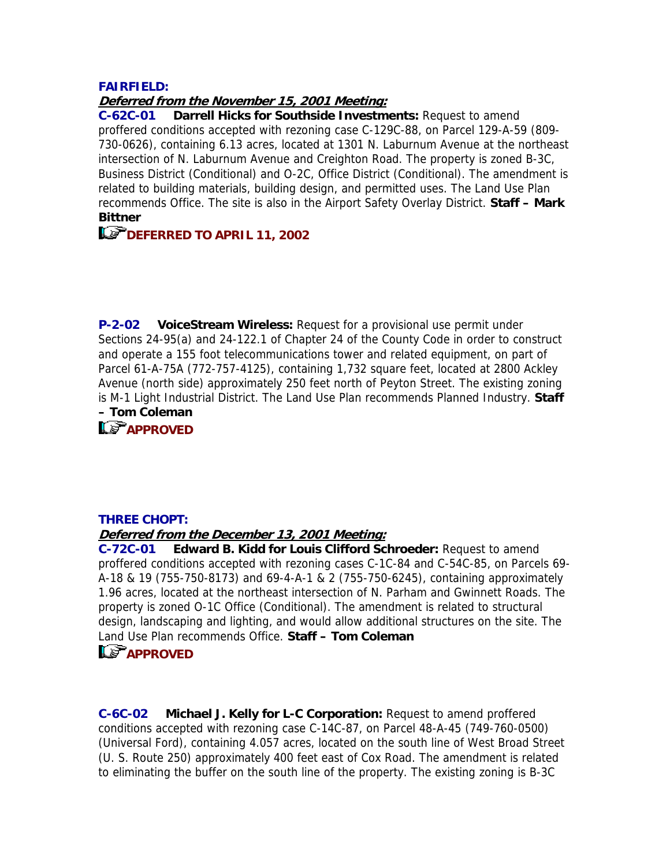# **FAIRFIELD:**

# **Deferred from the November 15, 2001 Meeting:**

**C-62C-01 Darrell Hicks for Southside Investments:** Request to amend proffered conditions accepted with rezoning case C-129C-88, on Parcel 129-A-59 (809- 730-0626), containing 6.13 acres, located at 1301 N. Laburnum Avenue at the northeast intersection of N. Laburnum Avenue and Creighton Road. The property is zoned B-3C, Business District (Conditional) and O-2C, Office District (Conditional). The amendment is related to building materials, building design, and permitted uses. The Land Use Plan recommends Office. The site is also in the Airport Safety Overlay District. **Staff – Mark Bittner**

# **DEFERRED TO APRIL 11, 2002**

**P-2-02 VoiceStream Wireless:** Request for a provisional use permit under Sections 24-95(a) and 24-122.1 of Chapter 24 of the County Code in order to construct and operate a 155 foot telecommunications tower and related equipment, on part of Parcel 61-A-75A (772-757-4125), containing 1,732 square feet, located at 2800 Ackley Avenue (north side) approximately 250 feet north of Peyton Street. The existing zoning is M-1 Light Industrial District. The Land Use Plan recommends Planned Industry. **Staff – Tom Coleman**



## **THREE CHOPT:**

#### **Deferred from the December 13, 2001 Meeting:**

**C-72C-01 Edward B. Kidd for Louis Clifford Schroeder:** Request to amend proffered conditions accepted with rezoning cases C-1C-84 and C-54C-85, on Parcels 69- A-18 & 19 (755-750-8173) and 69-4-A-1 & 2 (755-750-6245), containing approximately 1.96 acres, located at the northeast intersection of N. Parham and Gwinnett Roads. The property is zoned O-1C Office (Conditional). The amendment is related to structural design, landscaping and lighting, and would allow additional structures on the site. The Land Use Plan recommends Office. **Staff – Tom Coleman**

# **LS** APPROVED

**C-6C-02 Michael J. Kelly for L-C Corporation:** Request to amend proffered conditions accepted with rezoning case C-14C-87, on Parcel 48-A-45 (749-760-0500) (Universal Ford), containing 4.057 acres, located on the south line of West Broad Street (U. S. Route 250) approximately 400 feet east of Cox Road. The amendment is related to eliminating the buffer on the south line of the property. The existing zoning is B-3C